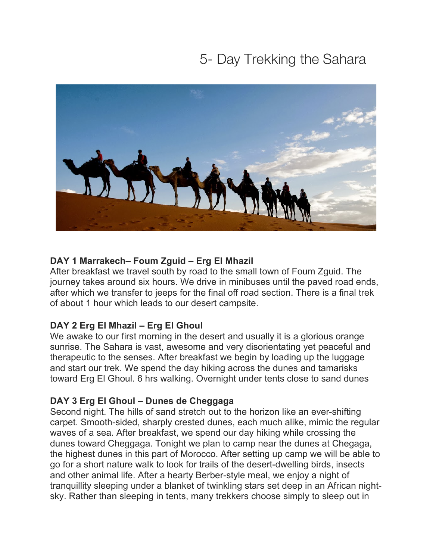# 5- Day Trekking the Sahara



# **DAY 1 Marrakech– Foum Zguid – Erg El Mhazil**

After breakfast we travel south by road to the small town of Foum Zguid. The journey takes around six hours. We drive in minibuses until the paved road ends, after which we transfer to jeeps for the final off road section. There is a final trek of about 1 hour which leads to our desert campsite.

## **DAY 2 Erg El Mhazil – Erg El Ghoul**

We awake to our first morning in the desert and usually it is a glorious orange sunrise. The Sahara is vast, awesome and very disorientating yet peaceful and therapeutic to the senses. After breakfast we begin by loading up the luggage and start our trek. We spend the day hiking across the dunes and tamarisks toward Erg El Ghoul. 6 hrs walking. Overnight under tents close to sand dunes

## **DAY 3 Erg El Ghoul – Dunes de Cheggaga**

Second night. The hills of sand stretch out to the horizon like an ever-shifting carpet. Smooth-sided, sharply crested dunes, each much alike, mimic the regular waves of a sea. After breakfast, we spend our day hiking while crossing the dunes toward Cheggaga. Tonight we plan to camp near the dunes at Chegaga, the highest dunes in this part of Morocco. After setting up camp we will be able to go for a short nature walk to look for trails of the desert-dwelling birds, insects and other animal life. After a hearty Berber-style meal, we enjoy a night of tranquillity sleeping under a blanket of twinkling stars set deep in an African nightsky. Rather than sleeping in tents, many trekkers choose simply to sleep out in